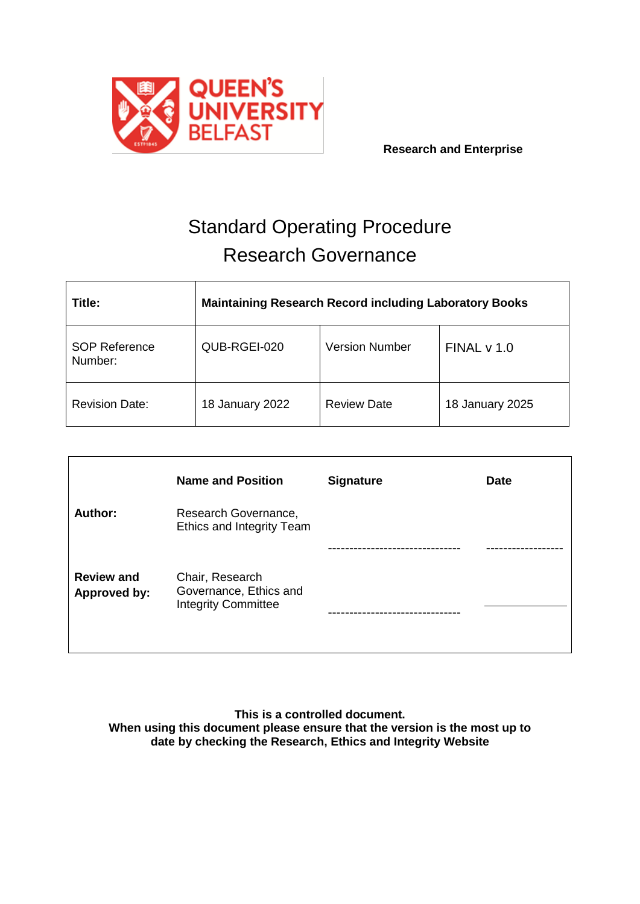

# Standard Operating Procedure Research Governance

| Title:                          | <b>Maintaining Research Record including Laboratory Books</b> |                       |                 |  |
|---------------------------------|---------------------------------------------------------------|-----------------------|-----------------|--|
| <b>SOP Reference</b><br>Number: | QUB-RGEI-020                                                  | <b>Version Number</b> | FINALV 1.0      |  |
| <b>Revision Date:</b>           | 18 January 2022                                               | <b>Review Date</b>    | 18 January 2025 |  |

|                                          | <b>Name and Position</b>                                                | <b>Signature</b> | <b>Date</b> |
|------------------------------------------|-------------------------------------------------------------------------|------------------|-------------|
| <b>Author:</b>                           | Research Governance,<br>Ethics and Integrity Team                       |                  |             |
|                                          |                                                                         |                  |             |
| <b>Review and</b><br><b>Approved by:</b> | Chair, Research<br>Governance, Ethics and<br><b>Integrity Committee</b> |                  |             |

**This is a controlled document. When using this document please ensure that the version is the most up to date by checking the Research, Ethics and Integrity Website**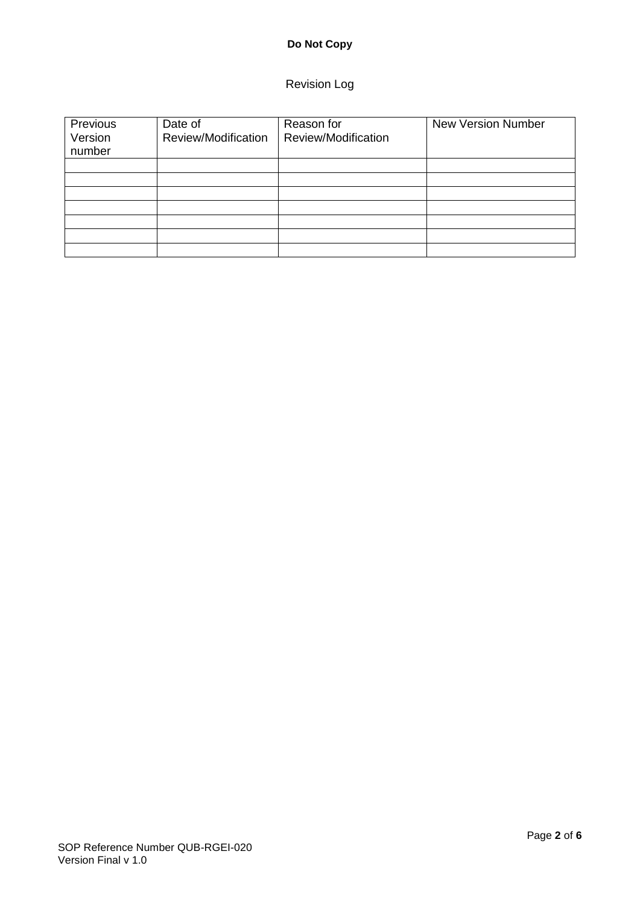# **Do Not Copy**

# Revision Log

| Previous<br>Version<br>number | Date of<br>Review/Modification | Reason for<br>Review/Modification | <b>New Version Number</b> |
|-------------------------------|--------------------------------|-----------------------------------|---------------------------|
|                               |                                |                                   |                           |
|                               |                                |                                   |                           |
|                               |                                |                                   |                           |
|                               |                                |                                   |                           |
|                               |                                |                                   |                           |
|                               |                                |                                   |                           |
|                               |                                |                                   |                           |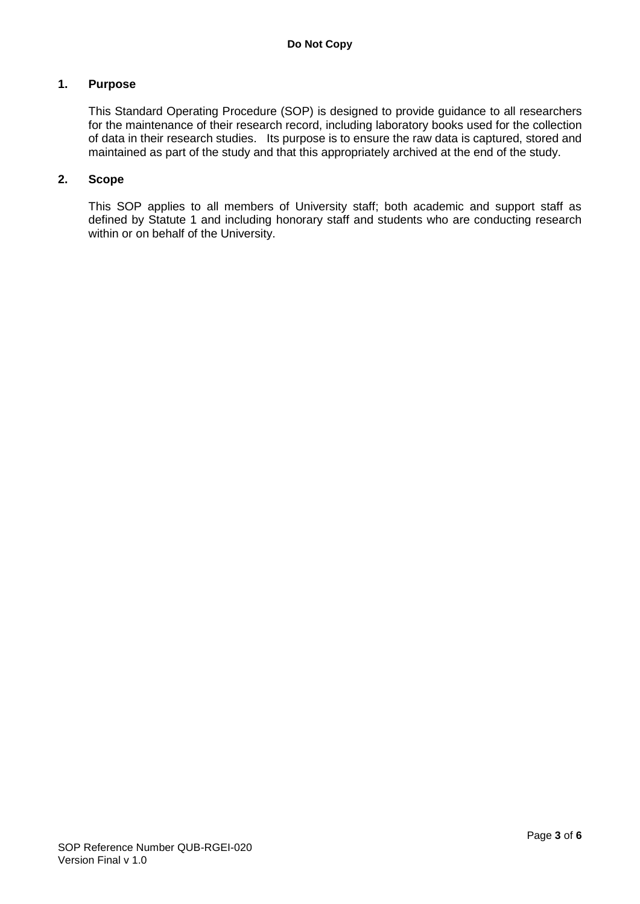#### **1. Purpose**

This Standard Operating Procedure (SOP) is designed to provide guidance to all researchers for the maintenance of their research record, including laboratory books used for the collection of data in their research studies. Its purpose is to ensure the raw data is captured, stored and maintained as part of the study and that this appropriately archived at the end of the study.

#### **2. Scope**

This SOP applies to all members of University staff; both academic and support staff as defined by Statute 1 and including honorary staff and students who are conducting research within or on behalf of the University.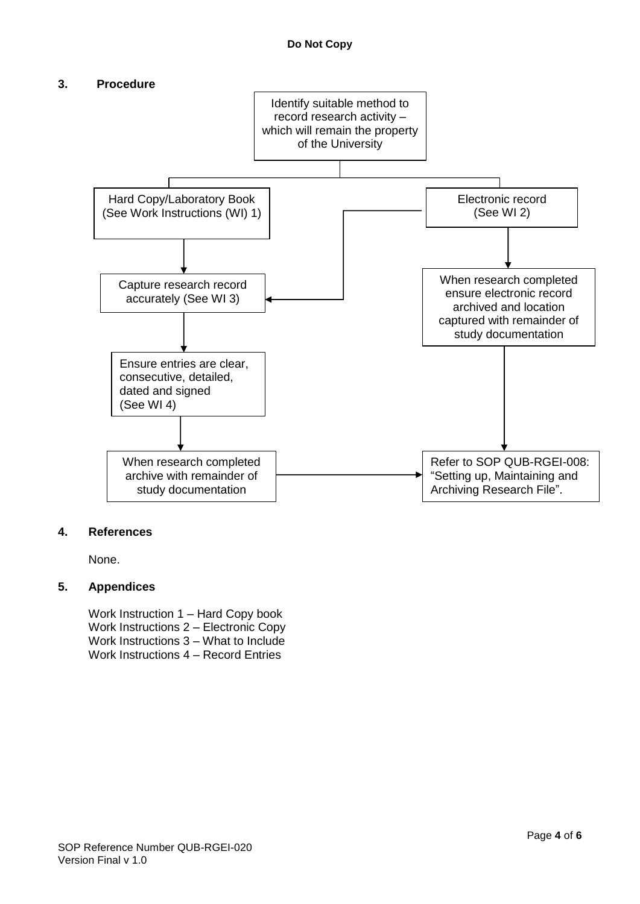## **3. Procedure**



#### **4. References**

None.

## **5. Appendices**

Work Instruction 1 – Hard Copy book Work Instructions 2 – Electronic Copy Work Instructions 3 – What to Include Work Instructions 4 – Record Entries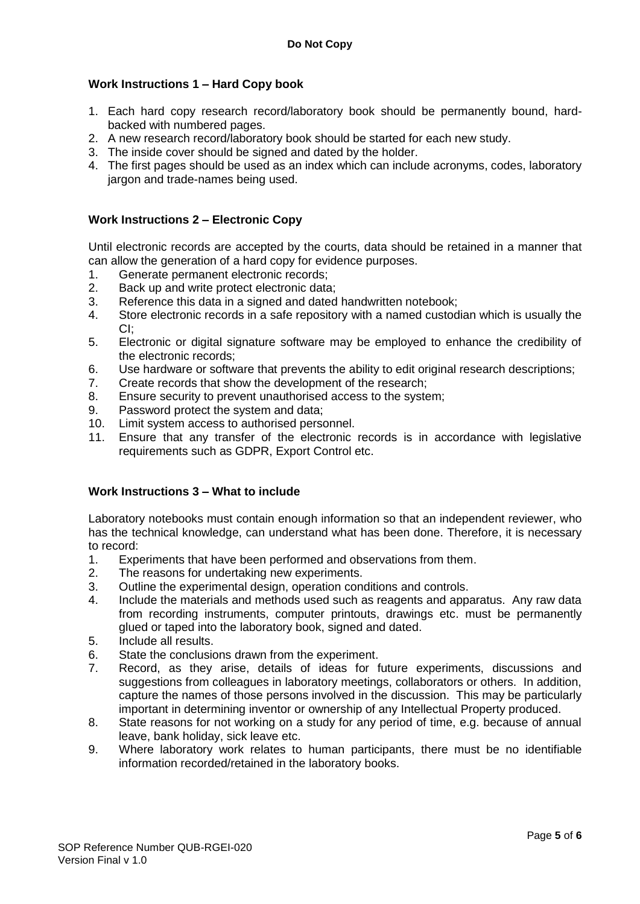# **Work Instructions 1 – Hard Copy book**

- 1. Each hard copy research record/laboratory book should be permanently bound, hardbacked with numbered pages.
- 2. A new research record/laboratory book should be started for each new study.
- 3. The inside cover should be signed and dated by the holder.
- 4. The first pages should be used as an index which can include acronyms, codes, laboratory jargon and trade-names being used.

## **Work Instructions 2 – Electronic Copy**

Until electronic records are accepted by the courts, data should be retained in a manner that can allow the generation of a hard copy for evidence purposes.

- 1. Generate permanent electronic records;
- 2. Back up and write protect electronic data;
- 3. Reference this data in a signed and dated handwritten notebook;
- 4. Store electronic records in a safe repository with a named custodian which is usually the CI;
- 5. Electronic or digital signature software may be employed to enhance the credibility of the electronic records;
- 6. Use hardware or software that prevents the ability to edit original research descriptions;
- 7. Create records that show the development of the research;
- 8. Ensure security to prevent unauthorised access to the system;
- 9. Password protect the system and data;
- 10. Limit system access to authorised personnel.
- 11. Ensure that any transfer of the electronic records is in accordance with legislative requirements such as GDPR, Export Control etc.

#### **Work Instructions 3 – What to include**

Laboratory notebooks must contain enough information so that an independent reviewer, who has the technical knowledge, can understand what has been done. Therefore, it is necessary to record:

- 1. Experiments that have been performed and observations from them.
- 2. The reasons for undertaking new experiments.
- 3. Outline the experimental design, operation conditions and controls.
- 4. Include the materials and methods used such as reagents and apparatus. Any raw data from recording instruments, computer printouts, drawings etc. must be permanently glued or taped into the laboratory book, signed and dated.
- 5. Include all results.
- 6. State the conclusions drawn from the experiment.
- 7. Record, as they arise, details of ideas for future experiments, discussions and suggestions from colleagues in laboratory meetings, collaborators or others. In addition, capture the names of those persons involved in the discussion. This may be particularly important in determining inventor or ownership of any Intellectual Property produced.
- 8. State reasons for not working on a study for any period of time, e.g. because of annual leave, bank holiday, sick leave etc.
- 9. Where laboratory work relates to human participants, there must be no identifiable information recorded/retained in the laboratory books.